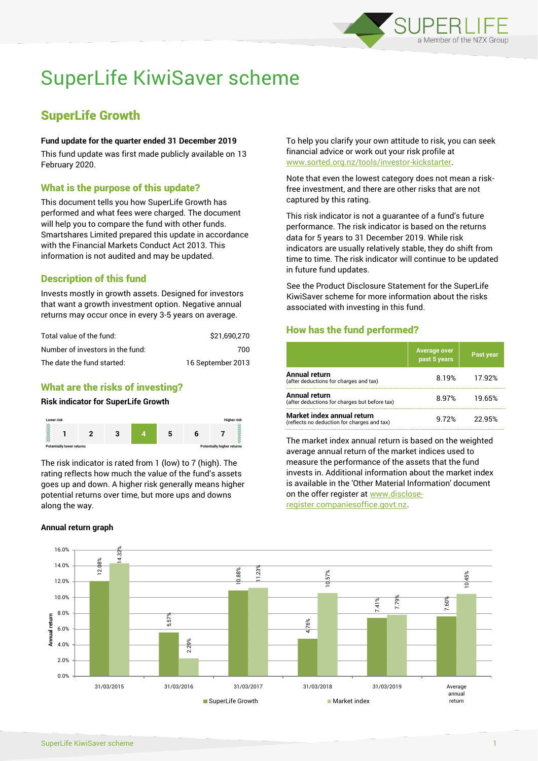

# SuperLife KiwiSaver scheme

# SuperLife Growth

#### **Fund update for the quarter ended 31 December 2019**

This fund update was first made publicly available on 13 February 2020.

# What is the purpose of this update?

This document tells you how SuperLife Growth has performed and what fees were charged. The document will help you to compare the fund with other funds. Smartshares Limited prepared this update in accordance with the Financial Markets Conduct Act 2013. This information is not audited and may be updated.

# Description of this fund

Invests mostly in growth assets. Designed for investors that want a growth investment option. Negative annual returns may occur once in every 3-5 years on average.

| Total value of the fund:         | \$21.690.270      |
|----------------------------------|-------------------|
| Number of investors in the fund: | 700               |
| The date the fund started:       | 16 September 2013 |

# What are the risks of investing?

#### **Risk indicator for SuperLife Growth**



The risk indicator is rated from 1 (low) to 7 (high). The rating reflects how much the value of the fund's assets goes up and down. A higher risk generally means higher potential returns over time, but more ups and downs along the way.

#### **Annual return graph**

To help you clarify your own attitude to risk, you can seek financial advice or work out your risk profile at [www.sorted.org.nz/tools/investor-kickstarter.](http://www.sorted.org.nz/tools/investor-kickstarter)

Note that even the lowest category does not mean a riskfree investment, and there are other risks that are not captured by this rating.

This risk indicator is not a guarantee of a fund's future performance. The risk indicator is based on the returns data for 5 years to 31 December 2019. While risk indicators are usually relatively stable, they do shift from time to time. The risk indicator will continue to be updated in future fund updates.

See the Product Disclosure Statement for the SuperLife KiwiSaver scheme for more information about the risks associated with investing in this fund.

# How has the fund performed?

|                                                                           | <b>Average over</b><br>past 5 years | <b>Past year</b> |
|---------------------------------------------------------------------------|-------------------------------------|------------------|
| Annual return<br>(after deductions for charges and tax)                   | 8.19%                               | 17.92%           |
| Annual return<br>(after deductions for charges but before tax)            | 8.97%                               | 19.65%           |
| Market index annual return<br>(reflects no deduction for charges and tax) | 9 72%                               | 22.95%           |

The market index annual return is based on the weighted average annual return of the market indices used to measure the performance of the assets that the fund invests in. Additional information about the market index is available in the 'Other Material Information' document on the offer register at www.discloseregister.companiesoffice.govt.nz.

12.08% 5.57% 10.88% 4.76% 7.41% 7.60% 14.32% 2.29% 11.23% 10.57% 7.79% 10.45% 0.0% 2.0% 4.0% 6.0% 8.0% 10.0% 12.0% 14.0% 16.0% 31/03/2015 31/03/2016 31/03/2017 31/03/2018 31/03/2019 Average annual return **Annual return** SuperLife Growth Market index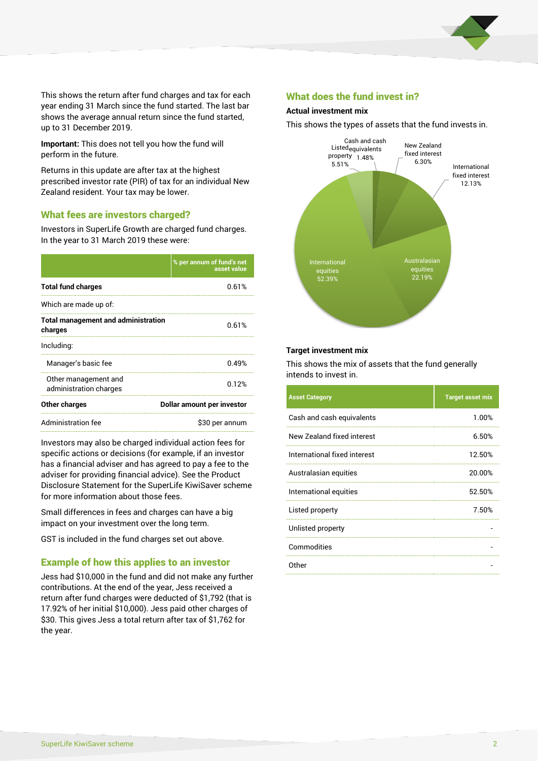

This shows the return after fund charges and tax for each year ending 31 March since the fund started. The last bar shows the average annual return since the fund started, up to 31 December 2019.

**Important:** This does not tell you how the fund will perform in the future.

Returns in this update are after tax at the highest prescribed investor rate (PIR) of tax for an individual New Zealand resident. Your tax may be lower.

#### What fees are investors charged?

Investors in SuperLife Growth are charged fund charges. In the year to 31 March 2019 these were:

|                                                       | % per annum of fund's net<br>asset value |
|-------------------------------------------------------|------------------------------------------|
| <b>Total fund charges</b>                             | 0.61%                                    |
| Which are made up of:                                 |                                          |
| <b>Total management and administration</b><br>charges | 0.61%                                    |
| Including:                                            |                                          |
| Manager's basic fee                                   | 0.49%                                    |
| Other management and<br>administration charges        | 0.12%                                    |
| Other charges                                         | Dollar amount per investor               |
| Administration fee                                    | \$30 per annum                           |

Investors may also be charged individual action fees for specific actions or decisions (for example, if an investor has a financial adviser and has agreed to pay a fee to the adviser for providing financial advice). See the Product Disclosure Statement for the SuperLife KiwiSaver scheme for more information about those fees.

Small differences in fees and charges can have a big impact on your investment over the long term.

GST is included in the fund charges set out above.

# Example of how this applies to an investor

Jess had \$10,000 in the fund and did not make any further contributions. At the end of the year, Jess received a return after fund charges were deducted of \$1,792 (that is 17.92% of her initial \$10,000). Jess paid other charges of \$30. This gives Jess a total return after tax of \$1,762 for the year.

#### What does the fund invest in?

#### **Actual investment mix**

This shows the types of assets that the fund invests in.



#### **Target investment mix**

This shows the mix of assets that the fund generally intends to invest in.

| <b>Asset Category</b>        | <b>Target asset mix</b> |
|------------------------------|-------------------------|
| Cash and cash equivalents    | 1.00%                   |
| New Zealand fixed interest   | 6.50%                   |
| International fixed interest | 12.50%                  |
| Australasian equities        | 20.00%                  |
| International equities       | 52.50%                  |
| Listed property              | 7.50%                   |
| Unlisted property            |                         |
| Commodities                  |                         |
| Other                        |                         |